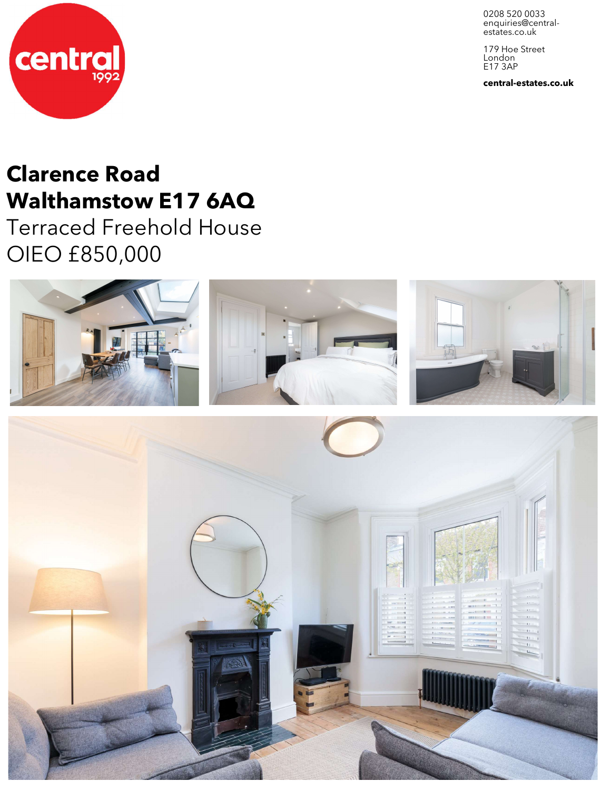0208 520 0033 enquiries@central-<br>estates.co.uk

179 Hoe Street London E17 3AP

**central-estates.co.uk**



## **Clarence Road Walthamstow E17 6AQ**

Terraced Freehold House OIEO £850,000